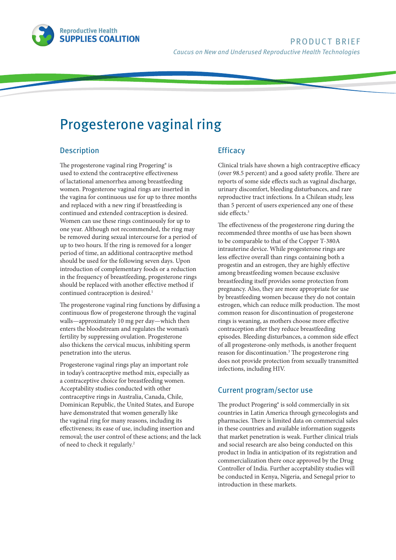

# Progesterone vaginal ring

## Description

The progesterone vaginal ring Progering® is used to extend the contraceptive effectiveness of lactational amenorrhea among breastfeeding women. Progesterone vaginal rings are inserted in the vagina for continuous use for up to three months and replaced with a new ring if breastfeeding is continued and extended contraception is desired. Women can use these rings continuously for up to one year. Although not recommended, the ring may be removed during sexual intercourse for a period of up to two hours. If the ring is removed for a longer period of time, an additional contraceptive method should be used for the following seven days. Upon introduction of complementary foods or a reduction in the frequency of breastfeeding, progesterone rings should be replaced with another effective method if continued contraception is desired.<sup>1</sup>

The progesterone vaginal ring functions by diffusing a continuous flow of progesterone through the vaginal walls—approximately 10 mg per day—which then enters the bloodstream and regulates the woman's fertility by suppressing ovulation. Progesterone also thickens the cervical mucus, inhibiting sperm penetration into the uterus.

Progesterone vaginal rings play an important role in today's contraceptive method mix, especially as a contraceptive choice for breastfeeding women. Acceptability studies conducted with other contraceptive rings in Australia, Canada, Chile, Dominican Republic, the United States, and Europe have demonstrated that women generally like the vaginal ring for many reasons, including its effectiveness; its ease of use, including insertion and removal; the user control of these actions; and the lack of need to check it regularly.<sup>2</sup>

## **Efficacy**

Clinical trials have shown a high contraceptive efficacy (over 98.5 percent) and a good safety profile. There are reports of some side effects such as vaginal discharge, urinary discomfort, bleeding disturbances, and rare reproductive tract infections. In a Chilean study, less than 5 percent of users experienced any one of these side effects.<sup>3</sup>

The effectiveness of the progesterone ring during the recommended three months of use has been shown to be comparable to that of the Copper T-380A intrauterine device. While progesterone rings are less effective overall than rings containing both a progestin and an estrogen, they are highly effective among breastfeeding women because exclusive breastfeeding itself provides some protection from pregnancy. Also, they are more appropriate for use by breastfeeding women because they do not contain estrogen, which can reduce milk production. The most common reason for discontinuation of progesterone rings is weaning, as mothers choose more effective contraception after they reduce breastfeeding episodes. Bleeding disturbances, a common side effect of all progesterone-only methods, is another frequent reason for discontinuation.3 The progesterone ring does not provide protection from sexually transmitted infections, including HIV.

## Current program/sector use

The product Progering® is sold commercially in six countries in Latin America through gynecologists and pharmacies. There is limited data on commercial sales in these countries and available information suggests that market penetration is weak. Further clinical trials and social research are also being conducted on this product in India in anticipation of its registration and commercialization there once approved by the Drug Controller of India. Further acceptability studies will be conducted in Kenya, Nigeria, and Senegal prior to introduction in these markets.